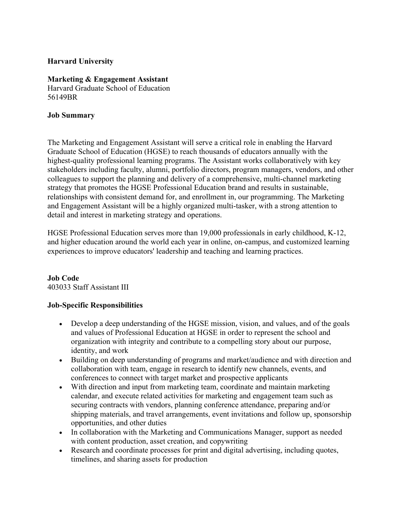## **Harvard University**

#### **Marketing & Engagement Assistant**

Harvard Graduate School of Education 56149BR

#### **Job Summary**

The Marketing and Engagement Assistant will serve a critical role in enabling the Harvard Graduate School of Education (HGSE) to reach thousands of educators annually with the highest-quality professional learning programs. The Assistant works collaboratively with key stakeholders including faculty, alumni, portfolio directors, program managers, vendors, and other colleagues to support the planning and delivery of a comprehensive, multi-channel marketing strategy that promotes the HGSE Professional Education brand and results in sustainable, relationships with consistent demand for, and enrollment in, our programming. The Marketing and Engagement Assistant will be a highly organized multi-tasker, with a strong attention to detail and interest in marketing strategy and operations.

HGSE Professional Education serves more than 19,000 professionals in early childhood, K-12, and higher education around the world each year in online, on-campus, and customized learning experiences to improve educators' leadership and teaching and learning practices.

#### **Job Code** 403033 Staff Assistant III

## **Job-Specific Responsibilities**

- Develop a deep understanding of the HGSE mission, vision, and values, and of the goals and values of Professional Education at HGSE in order to represent the school and organization with integrity and contribute to a compelling story about our purpose, identity, and work
- Building on deep understanding of programs and market/audience and with direction and collaboration with team, engage in research to identify new channels, events, and conferences to connect with target market and prospective applicants
- With direction and input from marketing team, coordinate and maintain marketing calendar, and execute related activities for marketing and engagement team such as securing contracts with vendors, planning conference attendance, preparing and/or shipping materials, and travel arrangements, event invitations and follow up, sponsorship opportunities, and other duties
- In collaboration with the Marketing and Communications Manager, support as needed with content production, asset creation, and copywriting
- Research and coordinate processes for print and digital advertising, including quotes, timelines, and sharing assets for production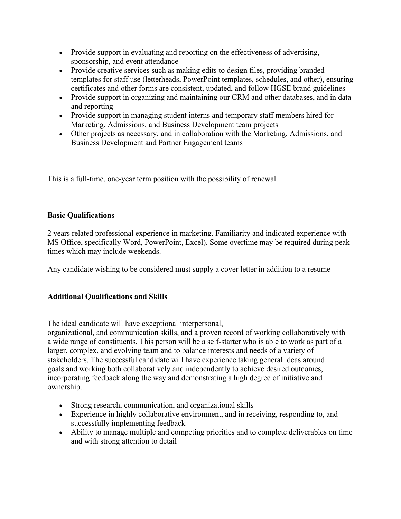- Provide support in evaluating and reporting on the effectiveness of advertising, sponsorship, and event attendance
- Provide creative services such as making edits to design files, providing branded templates for staff use (letterheads, PowerPoint templates, schedules, and other), ensuring certificates and other forms are consistent, updated, and follow HGSE brand guidelines
- Provide support in organizing and maintaining our CRM and other databases, and in data and reporting
- Provide support in managing student interns and temporary staff members hired for Marketing, Admissions, and Business Development team projects
- Other projects as necessary, and in collaboration with the Marketing, Admissions, and Business Development and Partner Engagement teams

This is a full-time, one-year term position with the possibility of renewal.

## **Basic Qualifications**

2 years related professional experience in marketing. Familiarity and indicated experience with MS Office, specifically Word, PowerPoint, Excel). Some overtime may be required during peak times which may include weekends.

Any candidate wishing to be considered must supply a cover letter in addition to a resume

# **Additional Qualifications and Skills**

The ideal candidate will have exceptional interpersonal,

organizational, and communication skills, and a proven record of working collaboratively with a wide range of constituents. This person will be a self-starter who is able to work as part of a larger, complex, and evolving team and to balance interests and needs of a variety of stakeholders. The successful candidate will have experience taking general ideas around goals and working both collaboratively and independently to achieve desired outcomes, incorporating feedback along the way and demonstrating a high degree of initiative and ownership.

- Strong research, communication, and organizational skills
- Experience in highly collaborative environment, and in receiving, responding to, and successfully implementing feedback
- Ability to manage multiple and competing priorities and to complete deliverables on time and with strong attention to detail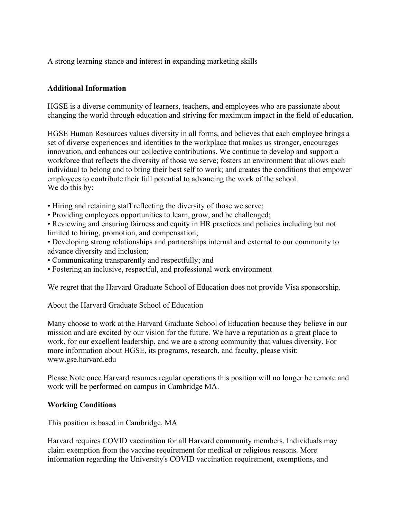A strong learning stance and interest in expanding marketing skills

## **Additional Information**

HGSE is a diverse community of learners, teachers, and employees who are passionate about changing the world through education and striving for maximum impact in the field of education.

HGSE Human Resources values diversity in all forms, and believes that each employee brings a set of diverse experiences and identities to the workplace that makes us stronger, encourages innovation, and enhances our collective contributions. We continue to develop and support a workforce that reflects the diversity of those we serve; fosters an environment that allows each individual to belong and to bring their best self to work; and creates the conditions that empower employees to contribute their full potential to advancing the work of the school. We do this by:

- Hiring and retaining staff reflecting the diversity of those we serve;
- Providing employees opportunities to learn, grow, and be challenged;

• Reviewing and ensuring fairness and equity in HR practices and policies including but not limited to hiring, promotion, and compensation;

- Developing strong relationships and partnerships internal and external to our community to advance diversity and inclusion;
- Communicating transparently and respectfully; and
- Fostering an inclusive, respectful, and professional work environment

We regret that the Harvard Graduate School of Education does not provide Visa sponsorship.

About the Harvard Graduate School of Education

Many choose to work at the Harvard Graduate School of Education because they believe in our mission and are excited by our vision for the future. We have a reputation as a great place to work, for our excellent leadership, and we are a strong community that values diversity. For more information about HGSE, its programs, research, and faculty, please visit: www.gse.harvard.edu

Please Note once Harvard resumes regular operations this position will no longer be remote and work will be performed on campus in Cambridge MA.

## **Working Conditions**

This position is based in Cambridge, MA

Harvard requires COVID vaccination for all Harvard community members. Individuals may claim exemption from the vaccine requirement for medical or religious reasons. More information regarding the University's COVID vaccination requirement, exemptions, and